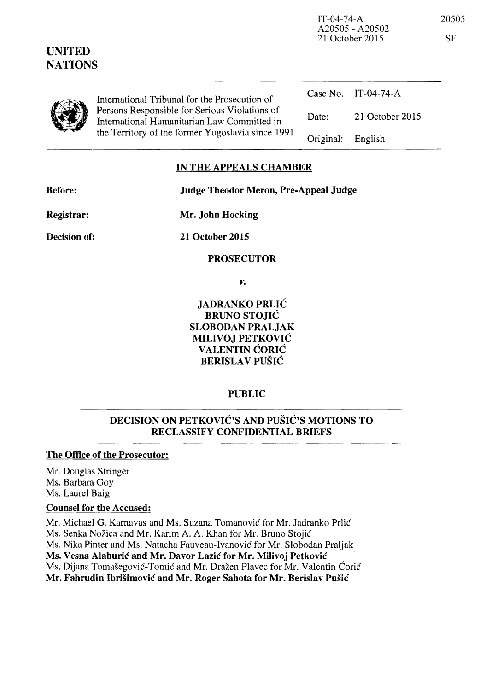| UNITED<br><b>NATIONS</b> |                                                                                                                                                   | A20505 - A20502<br>21 October 2015 |                 | <b>SF</b> |
|--------------------------|---------------------------------------------------------------------------------------------------------------------------------------------------|------------------------------------|-----------------|-----------|
|                          | International Tribunal for the Prosecution of                                                                                                     | Case No.                           | IT-04-74-A      |           |
|                          | Persons Responsible for Serious Violations of<br>International Humanitarian Law Committed in<br>the Territory of the former Yugoslavia since 1991 | Date:                              | 21 October 2015 |           |
|                          |                                                                                                                                                   | Original:                          | English         |           |

#### IN THE APPEALS CHAMBER

Before: Judge Theodor Meron, Pre-Appeal Judge

Registrar:

Mr. John Hocking

Decision of:

21 October 2015

PROSECUTOR

*Y.* 

JADRANKO PRLIC BRUNO STOJIC SLOBODAN PRALJAK MILIVOJ PETKOVIC VALENTIN CORIC BERISLAV PUŠIĆ

PUBLIC

# DECISION ON PETKOVIC'S AND PUSIC'S MOTIONS TO RECLASSIFY CONFIDENTIAL BRIEFS

### The Office of the Prosecutor:

Mr. Douglas Stringer Ms. Barbara Goy Ms. Laurel Baig

### Counsel for the Accused:

Mr. Michael G. Karnavas and Ms. Suzana Tomanović for Mr. Jadranko Prlić Ms. Senka Nožica and Mr. Karim A. A. Khan for Mr. Bruno Stojić Ms. Nika Pinter and Ms. Natacha Fauveau-Ivanovic for Mr. Slobodan Praljak Ms. Vesna Alaburic and Mr. Davor Lazic for Mr. Milivoj Petkovic Ms. Dijana Tomašegović-Tomić and Mr. Dražen Plavec for Mr. Valentin Ćorić Mr. Fahrudin Ibrisimovic and Mr. Roger Sahota for Mr. Berislav Pusic

IT-04-74-A 20505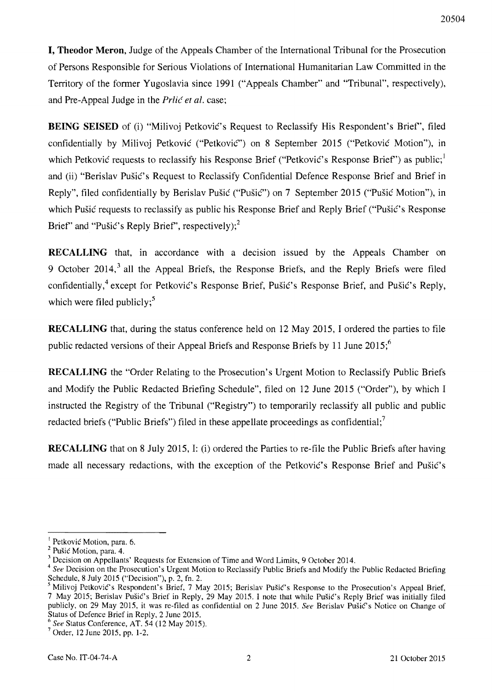**I, Theodor Meron,** Judge of the Appeals Chamber of the International Tribunal for the Prosecution of Persons Responsible for Serious Violations of International Humanitarian Law Committed in the Territory of the former Yugoslavia since 1991 ("Appeals Chamber" and "Tribunal", respectively), and Pre-Appeal Judge in the *Prlić et al.* case;

**BEING SEISED** of (i) "Milivoi Petković's Request to Reclassify His Respondent's Brief", filed confidentially by Milivoj Petković ("Petković") on 8 September 2015 ("Petković Motion"), in which Petkovic requests to reclassify his Response Brief ("Petkovic's Response Brief") as public;<sup>1</sup> and (ii) "Berislav Pusic's Request to Reclassify Confidential Defence Response Brief and Brief in Reply", filed confidentially by Berislav Pusic ("Pusic") on 7 September 2015 ("Pusic Motion"), in which Pušić requests to reclassify as public his Response Brief and Reply Brief ("Pušić's Response Brief" and "Pušić's Reply Brief", respectively); $^{2}$ 

**RECALLING** that, in accordance with a decision issued by the Appeals Chamber on 9 October 2014,<sup>3</sup> all the Appeal Briefs, the Response Briefs, and the Reply Briefs were filed confidentially,<sup>4</sup> except for Petković's Response Brief, Pušić's Response Brief, and Pušić's Reply, which were filed publicly; $5$ 

**RECALLING** that, during the status conference held on 12 May 2015, I ordered the parties to file public redacted versions of their Appeal Briefs and Response Briefs by 11 June 2015;<sup>6</sup>

**RECALLING** the "Order Relating to the Prosecution's Urgent Motion to Reclassify Public Briefs and Modify the Public Redacted Briefing Schedule", filed on 12 June 2015 ("Order"), by which I instructed the Registry of the Tribunal ("Registry") to temporarily reclassify all public and public redacted briefs ("Public Briefs") filed in these appellate proceedings as confidential;<sup>7</sup>

**RECALLING** that on 8 July 2015, I: (i) ordered the Parties to re-file the Public Briefs after having made all necessary redactions, with the exception of the Petkovic's Response Brief and Pusic's

 $<sup>t</sup>$  Petković Motion, para. 6.</sup>

 $2$  Pušić Motion, para. 4.

<sup>3</sup> Decision on Appellants' Requests for Extension of Time and Word Limits, 9 October 2014.

*<sup>4</sup> See* Decision on the Prosecution's Urgent Motion to Reclassify Public Briefs and Modify the Public Redacted Briefing Schedule, 8 July 2015 ("Decision"), p. 2, fn. 2.

<sup>&</sup>lt;sup>5</sup> Milivoj Petković's Respondent's Brief, 7 May 2015; Berislav Pušić's Response to the Prosecution's Appeal Brief, 7 May 2015; Berislav PusiC's Brief in Reply, 29 May 2015. I note that while Pusic's Reply Brief was initially filed publicly, on 29 May 2015, it was re-filed as confidential on 2 June 2015. See Berislav Pušić's Notice on Change of Status of Defence Brief in Reply, 2 June 2015.

 $\frac{6}{3}$  See Status Conference, AT. 54 (12 May 2015).

 $7$  Order, 12 June 2015, pp. 1-2.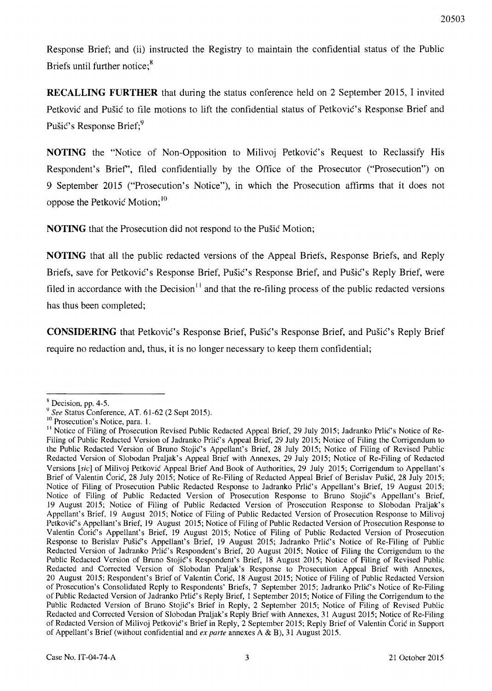Response Brief; and (ii) instructed the Registry to maintain the confidential status of the Public Briefs until further notice;<sup>8</sup>

**RECALLING FURTHER** that during the status conference held on 2 September 2015, I invited Petkovic and Pusic to file motions to lift the confidential status of Petkovic's Response Brief and Pušić's Response Brief:<sup>9</sup>

**NOTING** the "Notice of Non-Opposition to Milivoj Petkovic's Request to Reclassify His Respondent's Brief", filed confidentially by the Office of the Prosecutor ("Prosecution") on 9 September 2015 ("Prosecution's Notice"), in which the Prosecution affirms that **it** does not oppose the Petkovic Motion;<sup>10</sup>

**NOTING** that the Prosecution did not respond to the Pusic Motion;

**NOTING** that all the public redacted versions of the Appeal Briefs, Response Briefs, and Reply Briefs, save for Petkovic's Response Brief, Pusic's Response Brief, and Pusic's Reply Brief, were filed in accordance with the Decision<sup> $11$ </sup> and that the re-filing process of the public redacted versions has thus been completed;

**CONSIDERING** that Petkovic's Response Brief, Pušic's Response Brief, and Pušic's Reply Brief require no redaction and, thus, it is no longer necessary to keep them confidential;

<sup>&</sup>lt;sup>8</sup> Decision, pp. 4-5.

*<sup>9</sup> See* Status Conference, AT. 61-62 (2 Sept 2015),

<sup>&</sup>lt;sup>10</sup> Prosecution's Notice, para. 1.

<sup>&</sup>lt;sup>11</sup> Notice of Filing of Prosecution Revised Public Redacted Appeal Brief, 29 July 2015; Jadranko Prlić's Notice of Re-Filing of Public Redacted Version of Jadranko Prlic's Appeal Brief, 29 July 2015; Notice of Filing the Corrigendum to the Public Redacted Version of Bruno Stojic's Appellant's Brief, 28 July 2015; Notice of Filing of Revised Public Redacted Version of Slobodan Praljak's Appeal Brief with Annexes, 29 July 2015; Notice of Re-Filing of Redacted Versions [sic] of Milivoj Petkovic Appeal Brief And Book of Authorities, 29 July 2015; Corrigendum to Appellant's Brief of Valentin Coric, 28 July 2015; Notice of Re-Filing of Redacted Appeal Brief of Berislav Pusic, 28 July 2015; Notice of Filing of Prosecution Public Redacted Response to Jadranko Prlic's Appellant's Brief, 19 August 2015; Notice of Filing of Public Redacted Version of Prosecution Response to Bruno Stojic's Appellant's Brief, 19 August 2015; Notice of Filing of Public Redacted Version of Prosecution Response to Siobodan Praljak's Appellant's Brief, 19 August 2015; Notice of Filing of Public Redacted Version of Prosecution Response to Milivoj Petković's Appellant's Brief, 19 August 2015; Notice of Filing of Public Redacted Version of Prosecution Response to Valentin Coric's Appellant's Brief, 19 August 2015; Notice of Filing of Public Redacted Version of Prosecution Response to Berislav Pusic's Appellant's Brief, 19 August 2015; Jadranko Prlic's Notice of Re-Filing of Public Redacted Version of Jadranko Prlic's Respondent's Brief, 20 August 2015; Notice of Filing the Corrigendum to the Public Redacted Version of Bruno Stojić's Respondent's Brief, 18 August 2015; Notice of Filing of Revised Public Redacted and Corrected Version of Slobodan Praljak's Response to Prosecution Appeal Brief with Annexes, 20 August 2015; Respondent's Brief of Valentin Coric, 18 August 2015; Notice of Filing of Public Redacted Version of Prosecution's Consolidated Reply to Respondents' Briefs, 7 September 2015; Jadranko Prlic's Notice of Re-Filing of Public Redacted Version of Jadranko Prlic's Reply Brief, 1 September 2015; Notice of Filing the Corrigendum to the Public Redacted Version of Bruno Stojie's Brief in Reply, 2 September 2015; Notice of Filing of Revised Public Redacted and Corrected Version of Siobodan Praljak's Reply Brief with Annexes, 31 August 2015; Notice of Re-Filing of Redacted Version of Milivoj Petkovic's Brief in Reply, 2 September 2015; Reply Brief of Valentin Corie in Support of Appellant's Brief (without confidential and *ex parte* annexes A & B), 31 August 2015.